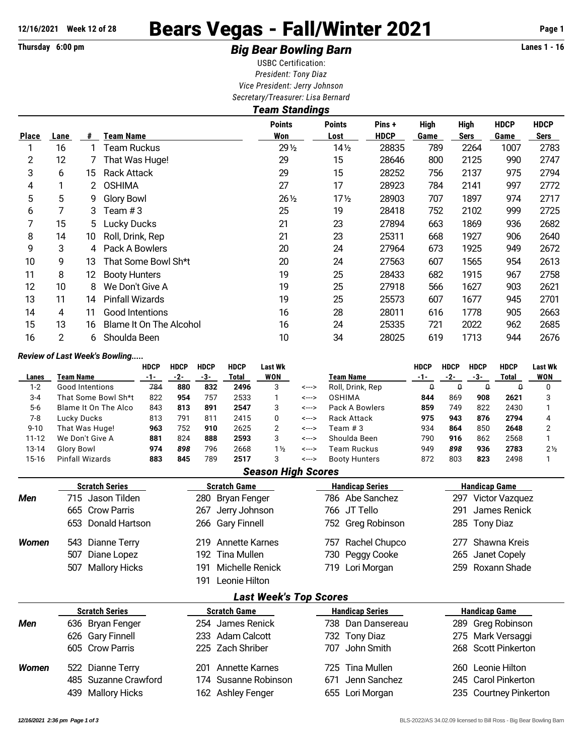## 12/16/2021 Week 12 of 28 **Bears Vegas - Fall/Winter 2021** Page 1

## Thursday 6:00 pm **Example 2 Constrained Big Bear Bowling Barn Example 2 Constrained Big Bear Bowling Barn**

USBC Certification: *President: Tony Diaz Vice President: Jerry Johnson Secretary/Treasurer: Lisa Bernard*

| Lane           | #  | Team Name               | <b>Points</b><br>Won | <b>Points</b><br>Lost | Pins+<br><b>HDCP</b>  | <b>High</b><br>Game | <b>High</b><br><b>Sers</b> | <b>HDCP</b><br>Game | <b>HDCP</b><br>Sers |  |  |  |
|----------------|----|-------------------------|----------------------|-----------------------|-----------------------|---------------------|----------------------------|---------------------|---------------------|--|--|--|
| 16             |    | Team Ruckus             | 29 1/2               | 14 <sub>2</sub>       | 28835                 | 789                 | 2264                       | 1007                | 2783                |  |  |  |
| 12             |    | That Was Huge!          | 29                   | 15                    | 28646                 | 800                 | 2125                       | 990                 | 2747                |  |  |  |
| 6              | 15 | <b>Rack Attack</b>      | 29                   | 15                    | 28252                 | 756                 | 2137                       | 975                 | 2794                |  |  |  |
|                | 2  | <b>OSHIMA</b>           | 27                   | 17                    | 28923                 | 784                 | 2141                       | 997                 | 2772                |  |  |  |
| 5              | 9  | <b>Glory Bowl</b>       | $26\frac{1}{2}$      | 17 <sub>2</sub>       | 28903                 | 707                 | 1897                       | 974                 | 2717                |  |  |  |
|                | 3  | Team # 3                | 25                   | 19                    | 28418                 | 752                 | 2102                       | 999                 | 2725                |  |  |  |
| 15             | 5. | Lucky Ducks             | 21                   | 23                    | 27894                 | 663                 | 1869                       | 936                 | 2682                |  |  |  |
| 14             | 10 | Roll, Drink, Rep        | 21                   | 23                    | 25311                 | 668                 | 1927                       | 906                 | 2640                |  |  |  |
| 3              | 4  | Pack A Bowlers          | 20                   | 24                    | 27964                 | 673                 | 1925                       | 949                 | 2672                |  |  |  |
| 9              | 13 | That Some Bowl Sh*t     | 20                   | 24                    | 27563                 | 607                 | 1565                       | 954                 | 2613                |  |  |  |
| 8              | 12 | <b>Booty Hunters</b>    | 19                   | 25                    | 28433                 | 682                 | 1915                       | 967                 | 2758                |  |  |  |
| 10             | 8  | We Don't Give A         | 19                   | 25                    | 27918                 | 566                 | 1627                       | 903                 | 2621                |  |  |  |
| 11             | 14 | <b>Pinfall Wizards</b>  | 19                   | 25                    | 25573                 | 607                 | 1677                       | 945                 | 2701                |  |  |  |
| 4              | 11 | Good Intentions         | 16                   | 28                    | 28011                 | 616                 | 1778                       | 905                 | 2663                |  |  |  |
| 13             | 16 | Blame It On The Alcohol | 16                   | 24                    | 25335                 | 721                 | 2022                       | 962                 | 2685                |  |  |  |
| $\overline{2}$ | 6  | Shoulda Been            | 10                   | 34                    | 28025                 | 619                 | 1713                       | 944                 | 2676                |  |  |  |
|                |    |                         |                      |                       | <b>Team Standings</b> |                     |                            |                     |                     |  |  |  |

## *Review of Last Week's Bowling.....*

|           |                        | <b>HDCP</b> | <b>HDCP</b> | <b>HDCP</b> | <b>HDCP</b> | Last Wk        |       |                      | HDCP | <b>HDCP</b> | <b>HDCP</b> | <b>HDCP</b> | <b>Last Wk</b> |
|-----------|------------------------|-------------|-------------|-------------|-------------|----------------|-------|----------------------|------|-------------|-------------|-------------|----------------|
| Lanes     | Team Name              | -1-         | -2-         | -3-         | Total       | WON            |       | Team Name            | -1-  | -2-         | -3-         | Total       | <b>WON</b>     |
| $1 - 2$   | <b>Good Intentions</b> | 784         | 880         | 832         | 2496        | 3              | <---> | Roll, Drink, Rep     |      | ₩           | Q           |             |                |
| $3 - 4$   | That Some Bowl Sh*t    | 822         | 954         | 757         | 2533        |                | <---> | <b>OSHIMA</b>        | 844  | 869         | 908         | 2621        |                |
| $5-6$     | Blame It On The Alco   | 843         | 813         | 891         | 2547        |                | <---> | Pack A Bowlers       | 859  | 749         | 822         | 2430        |                |
| 7-8       | Lucky Ducks            | 813         | 791         | 811         | 2415        |                | <---> | <b>Rack Attack</b>   | 975  | 943         | 876         | 2794        |                |
| $9 - 10$  | That Was Huge!         | 963         | 752         | 910         | 2625        |                | <---> | Team # 3             | 934  | 864         | 850         | 2648        |                |
| $11 - 12$ | We Don't Give A        | 881         | 824         | 888         | 2593        |                | <---> | Shoulda Been         | 790  | 916         | 862         | 2568        |                |
| 13-14     | Glory Bowl             | 974         | 898         | 796         | 2668        | $1\frac{1}{2}$ | <---> | Team Ruckus          | 949  | 898         | 936         | 2783        | 2 <sub>2</sub> |
| 15-16     | Pinfall Wizards        | 883         | 845         | 789         | 2517        |                | <---> | <b>Booty Hunters</b> | 872  | 803         | 823         | 2498        |                |

## *Season High Scores*

| <b>Scratch Series</b> |                       | <b>Scratch Game</b>           | <b>Handicap Series</b> | <b>Handicap Game</b> |  |  |  |  |
|-----------------------|-----------------------|-------------------------------|------------------------|----------------------|--|--|--|--|
| Men                   | 715 Jason Tilden      | 280 Bryan Fenger              | 786 Abe Sanchez        | 297 Victor Vazquez   |  |  |  |  |
|                       | 665 Crow Parris       | 267 Jerry Johnson             | 766 JT Tello           | James Renick<br>291  |  |  |  |  |
|                       | 653 Donald Hartson    | 266 Gary Finnell              | 752 Greg Robinson      | 285 Tony Diaz        |  |  |  |  |
| <b>Women</b>          | 543 Dianne Terry      | <b>Annette Karnes</b><br>219  | Rachel Chupco<br>757   | Shawna Kreis<br>277  |  |  |  |  |
|                       | Diane Lopez<br>507    | 192 Tina Mullen               | 730 Peggy Cooke        | 265 Janet Copely     |  |  |  |  |
|                       | 507 Mallory Hicks     | Michelle Renick<br>191        | 719 Lori Morgan        | 259 Roxann Shade     |  |  |  |  |
|                       |                       | Leonie Hilton<br>191          |                        |                      |  |  |  |  |
|                       |                       | <b>Last Week's Top Scores</b> |                        |                      |  |  |  |  |
|                       | <b>Scratch Series</b> | <b>Scratch Game</b>           | <b>Handicap Series</b> | <b>Handicap Game</b> |  |  |  |  |
| Men                   | 636 Bryan Fenger      | 254 James Renick              | 738 Dan Dansereau      | 289 Greg Robinson    |  |  |  |  |

| <b>Scratch Series</b> |  |                      | <b>Scratch Game</b>  | <b>Handicap Series</b> | <b>Handicap Game</b> |                        |  |  |  |
|-----------------------|--|----------------------|----------------------|------------------------|----------------------|------------------------|--|--|--|
| Men                   |  | 636 Bryan Fenger     | 254 James Renick     | 738 Dan Dansereau      |                      | 289 Greg Robinson      |  |  |  |
|                       |  | 626 Gary Finnell     | 233 Adam Calcott     | 732 Tony Diaz          |                      | 275 Mark Versaggi      |  |  |  |
|                       |  | 605 Crow Parris      | 225 Zach Shriber     | 707 John Smith         |                      | 268 Scott Pinkerton    |  |  |  |
| Women                 |  | 522 Dianne Terry     | 201 Annette Karnes   | 725 Tina Mullen        |                      | 260 Leonie Hilton      |  |  |  |
|                       |  | 485 Suzanne Crawford | 174 Susanne Robinson | 671 Jenn Sanchez       |                      | 245 Carol Pinkerton    |  |  |  |
|                       |  | 439 Mallory Hicks    | 162 Ashley Fenger    | 655 Lori Morgan        |                      | 235 Courtney Pinkerton |  |  |  |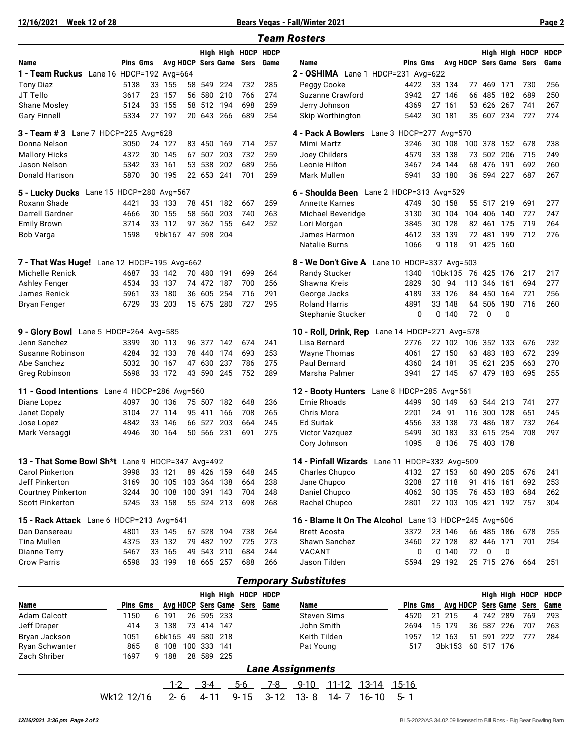**12/16/2021 Week 12 of 28 Bears Vegas - Fall/Winter 2021 Page 2**

|                                                  |                   |    |                    |            |                   |                     |            | <b>Team Rosters</b>                                   |                          |    |                    |     |                      |          |                     |             |
|--------------------------------------------------|-------------------|----|--------------------|------------|-------------------|---------------------|------------|-------------------------------------------------------|--------------------------|----|--------------------|-----|----------------------|----------|---------------------|-------------|
|                                                  |                   |    |                    |            |                   | High High HDCP HDCP |            |                                                       |                          |    |                    |     |                      |          | High High HDCP      | <b>HDCP</b> |
| Name                                             | Pins Gms Avg HDCP |    |                    |            |                   | Sers Game Sers      | Game       | Name                                                  | Pins Gms Avg HDCP        |    |                    |     |                      |          | Sers Game Sers      | Game        |
| 1 - Team Ruckus Lane 16 HDCP=192 Avg=664         |                   |    |                    |            |                   |                     |            | 2 - OSHIMA Lane 1 HDCP=231 Avg=622                    |                          |    |                    |     |                      |          |                     |             |
| <b>Tony Diaz</b>                                 | 5138              |    | 33 155             | 58 549     | 224               | 732                 | 285        | Peggy Cooke                                           | 4422                     |    | 33 134             |     | 77 469               | 171      | 730                 | 256         |
| JT Tello                                         | 3617              |    | 23 157             |            | 56 580 210        | 766                 | 274        | Suzanne Crawford                                      | 3942                     |    | 27 146             |     | 66 485 182           |          | 689                 | 250         |
| Shane Mosley                                     | 5124              |    | 33 155             |            | 58 512 194        | 698                 | 259        | Jerry Johnson                                         | 4369                     |    | 27 161             |     | 53 626 267           |          | 741                 | 267         |
| <b>Gary Finnell</b>                              | 5334              |    | 27 197             |            | 20 643 266        | 689                 | 254        | Skip Worthington                                      | 5442                     |    | 30 181             |     | 35 607 234           |          | 727                 | 274         |
| 3 - Team # 3 Lane 7 HDCP=225 Avg=628             |                   |    |                    |            |                   |                     |            | 4 - Pack A Bowlers                                    | Lane 3 HDCP=277 Avg=570  |    |                    |     |                      |          |                     |             |
| Donna Nelson                                     | 3050              |    | 24 127             |            | 83 450 169        | 714                 | 257        | Mimi Martz                                            | 3246                     |    | 30 108             |     | 100 378 152          |          | 678                 | 238         |
| <b>Mallory Hicks</b>                             | 4372              |    | 30 145             | 67 507     | 203               | 732                 | 259        | Joey Childers                                         | 4579                     |    | 33 138             |     | 73 502 206           |          | 715                 | 249         |
| Jason Nelson                                     | 5342              |    | 33 161             | 53 538     | 202               | 689                 | 256        | Leonie Hilton                                         | 3467                     |    | 24 144             |     | 68 476               | 191      | 692                 | 260         |
| Donald Hartson                                   | 5870              |    | 30 195             | 22 653 241 |                   | 701                 | 259        | Mark Mullen                                           | 5941                     |    | 33 180             |     | 36 594 227           |          | 687                 | 267         |
| 5 - Lucky Ducks Lane 15 HDCP=280 Avg=567         |                   |    |                    |            |                   |                     |            | 6 - Shoulda Been Lane 2 HDCP=313 Avg=529              |                          |    |                    |     |                      |          |                     |             |
| Roxann Shade                                     | 4421              |    | 33 133             |            | 78 451 182        | 667                 | 259        | <b>Annette Karnes</b>                                 | 4749                     |    | 30 158             |     | 55 517 219           |          | 691                 | 277         |
| Darrell Gardner                                  | 4666              |    | 30 155             | 58 560     | 203               | 740                 | 263        | Michael Beveridge                                     | 3130                     |    | 30 104             |     | 104 406              | -140     | 727                 | 247         |
| <b>Emily Brown</b>                               | 3714              |    | 33 112             |            | 97 362 155        | 642                 | 252        | Lori Morgan                                           | 3845                     |    | 30 128             |     | 82 461 175           |          | 719                 | 264         |
| Bob Varga                                        | 1598              |    | 9bk167             |            | 47 598 204        |                     |            | James Harmon                                          | 4612                     |    | 33 139             |     | 72 481               | 199      | 712                 | 276         |
|                                                  |                   |    |                    |            |                   |                     |            | <b>Natalie Burns</b>                                  | 1066                     |    | 9 1 1 8            | 91  | 425 160              |          |                     |             |
| 7 - That Was Huge! Lane 12 HDCP=195 Avg=662      |                   |    |                    |            |                   |                     |            | 8 - We Don't Give A Lane 10 HDCP=337 Avg=503          |                          |    |                    |     |                      |          |                     |             |
| Michelle Renick                                  | 4687              |    | 33 142             | 70 480 191 |                   | 699                 | 264        | Randy Stucker                                         | 1340                     |    | 10bk135            |     | 76 425 176           |          | 217                 | 217         |
| Ashley Fenger                                    | 4534              |    | 33 137             | 74 472 187 |                   | 700                 | 256        | Shawna Kreis                                          | 2829                     |    | 30 94              | 113 | 346                  | 161      | 694                 | 277         |
| James Renick                                     | 5961              | 33 | 180                |            | 36 605 254        | 716                 | 291        | George Jacks                                          | 4189                     |    | 33 126             |     | 84 450 164           |          | 721                 | 256         |
| <b>Bryan Fenger</b>                              | 6729              |    | 33 203             |            | 15 675 280        | 727                 | 295        | Roland Harris                                         | 4891                     | 33 | 148                | 64  | 506                  | 190      | 716                 | 260         |
|                                                  |                   |    |                    |            |                   |                     |            | Stephanie Stucker                                     | 0                        |    | 0,140              | 72  | 0                    | $\Omega$ |                     |             |
| 9 - Glory Bowl Lane 5 HDCP=264 Avg=585           |                   |    |                    |            |                   |                     |            | 10 - Roll, Drink, Rep                                 | Lane 14 HDCP=271 Avg=578 |    |                    |     |                      |          |                     |             |
| Jenn Sanchez                                     | 3399              |    | 30 113             |            | 96 377 142        | 674                 | 241        | Lisa Bernard                                          | 2776                     |    | 27 102             |     | 106 352 133          |          | 676                 | 232         |
| Susanne Robinson                                 | 4284              |    | 32 133             | 78 440     | 174               | 693                 | 253        | <b>Wayne Thomas</b>                                   | 4061                     |    | 27 150             |     | 63 483               | 183      | 672                 | 239         |
| Abe Sanchez<br>Greg Robinson                     | 5032<br>5698      |    | 30 167<br>33 172   | 47 630     | 237<br>43 590 245 | 786<br>752          | 275<br>289 | Paul Bernard<br>Marsha Palmer                         | 4360<br>3941             |    | 24 181<br>27 145   |     | 35 621<br>67 479 183 | 235      | 663<br>695          | 270<br>255  |
| 11 - Good Intentions Lane 4 HDCP=286 Avg=560     |                   |    |                    |            |                   |                     |            | 12 - Booty Hunters Lane 8 HDCP=285 Avg=561            |                          |    |                    |     |                      |          |                     |             |
| Diane Lopez                                      | 4097              |    | 30 136             |            | 75 507 182        | 648                 | 236        | <b>Ernie Rhoads</b>                                   | 4499                     |    | 30 149             |     | 63 544 213           |          | 741                 | 277         |
| Janet Copely                                     | 3104              |    | 27 114             |            | 95 411 166        | 708                 | 265        | Chris Mora                                            | 2201                     |    | 24 91              |     | 116 300 128          |          | 651                 | 245         |
| Jose Lopez                                       | 4842              | 33 | 146                | 66 527     | 203               | 664                 | 245        | <b>Ed Suitak</b>                                      | 4556                     |    | 33 138             |     | 73 486 187           |          | 732                 | 264         |
| Mark Versaggi                                    | 4946              |    | 30 164             | 50 566     | 231               | 691                 | 275        | <b>Victor Vazquez</b>                                 | 5499                     |    | 30 183             |     | 33 615               | 254      | 708                 | 297         |
|                                                  |                   |    |                    |            |                   |                     |            | Cory Johnson                                          | 1095                     |    | 8 136              |     | 75 403 178           |          |                     |             |
| 13 - That Some Bowl Sh*t Lane 9 HDCP=347 Avg=492 |                   |    |                    |            |                   |                     |            | 14 - Pinfall Wizards Lane 11 HDCP=332 Avg=509         |                          |    |                    |     |                      |          |                     |             |
| Carol Pinkerton                                  | 3998              |    | 33 121             |            | 89 426 159        | 648                 | 245        | Charles Chupco                                        | 4132                     |    | 27 153             |     | 60 490 205           |          | 676                 | 241         |
| Jeff Pinkerton                                   | 3169              |    | 30 105 103 364 138 |            |                   | 664                 | 238        | Jane Chupco                                           | 3208                     |    | 27 118             |     | 91 416 161           |          | 692                 | 253         |
| <b>Courtney Pinkerton</b>                        | 3244              |    | 30 108 100 391 143 |            |                   | 704                 | 248        | Daniel Chupco                                         | 4062                     |    | 30 135             |     | 76 453 183           |          | 684                 | 262         |
| <b>Scott Pinkerton</b>                           | 5245              |    | 33 158             |            | 55 524 213        | 698                 | 268        | Rachel Chupco                                         | 2801                     |    | 27 103 105 421 192 |     |                      |          | 757                 | 304         |
| 15 - Rack Attack Lane 6 HDCP=213 Avg=641         |                   |    |                    |            |                   |                     |            | 16 - Blame It On The Alcohol Lane 13 HDCP=245 Avg=606 |                          |    |                    |     |                      |          |                     |             |
| Dan Dansereau                                    | 4801              |    | 33 145             |            | 67 528 194        | 738                 | 264        | <b>Brett Acosta</b>                                   | 3372                     |    | 23 146             |     | 66 485 186           |          | 678                 | 255         |
| Tina Mullen                                      | 4375              |    | 33 132             |            | 79 482 192        | 725                 | 273        | Shawn Sanchez                                         | 3460                     |    | 27 128             |     | 82 446 171           |          | 701                 | 254         |
| <b>Dianne Terry</b>                              | 5467              |    | 33 165             |            | 49 543 210        | 684                 | 244        | VACANT                                                | 0                        |    | 0,140              | 72  | 0                    | 0        |                     |             |
| <b>Crow Parris</b>                               | 6598              |    | 33 199             |            | 18 665 257        | 688                 | 266        | Jason Tilden                                          | 5594                     |    | 29 192             |     | 25 715 276           |          | - 664               | 251         |
|                                                  |                   |    |                    |            |                   |                     |            | <b>Temporary Substitutes</b>                          |                          |    |                    |     |                      |          |                     |             |
|                                                  |                   |    |                    |            |                   | High High HDCP HDCP |            |                                                       |                          |    |                    |     |                      |          | High High HDCP HDCP |             |

|                |            |        |     |            |     |                              | High High HDCP HDCP |                         |              |       |          |    |                              |    |           |            |     | High High HDCP HDCP |
|----------------|------------|--------|-----|------------|-----|------------------------------|---------------------|-------------------------|--------------|-------|----------|----|------------------------------|----|-----------|------------|-----|---------------------|
| Name           | Pins Gms   |        |     |            |     | Avg HDCP Sers Game Sers Game |                     | Name                    |              |       | Pins Gms |    | Avg HDCP Sers Game Sers Game |    |           |            |     |                     |
| Adam Calcott   | 1150       | 6 191  |     | 26 595 233 |     |                              |                     |                         | Steven Sims  |       | 4520     | 21 | 215                          |    | 4 742 289 |            | 769 | 293                 |
| Jeff Draper    | 414        | 3 138  |     | 73 414 147 |     |                              |                     | John Smith              |              |       | 2694     |    | 15 179                       | 36 | 587       | -226       | 707 | 263                 |
| Bryan Jackson  | 1051       | 6bk165 | 49  | 580 218    |     |                              |                     |                         | Keith Tilden |       | 1957     | 12 | 163                          |    | 51 591    | 222        | 777 | 284                 |
| Ryan Schwanter | 865        | 8 108  | 100 | 333        | 141 |                              |                     | Pat Young               |              |       | 517      |    | 3bk153                       |    |           | 60 517 176 |     |                     |
| Zach Shriber   | 1697       | 9 188  |     | 28 589 225 |     |                              |                     |                         |              |       |          |    |                              |    |           |            |     |                     |
|                |            |        |     |            |     |                              |                     | <b>Lane Assignments</b> |              |       |          |    |                              |    |           |            |     |                     |
|                |            | $1-2$  |     | 3-4        |     | 5-6                          | 7-8                 | $9 - 10$                | 11-12        | 13-14 | 15-16    |    |                              |    |           |            |     |                     |
|                | Wk12 12/16 | 2-6    |     | 4-11       |     | $9 - 15$                     | $3 - 12$            | $13 - 8$                | 14- 7        | 16-10 | $5 - 1$  |    |                              |    |           |            |     |                     |